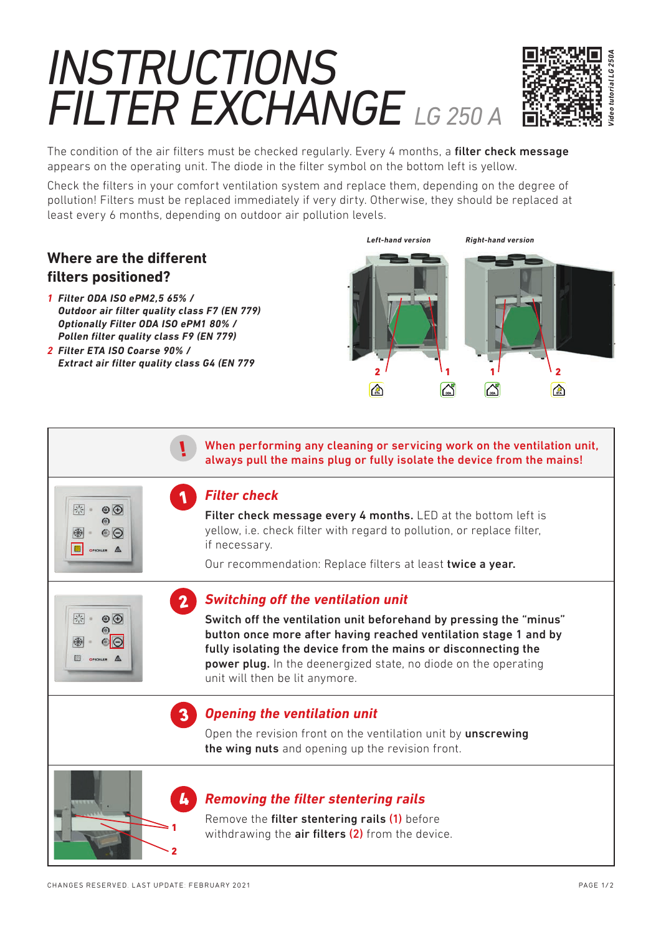# *INSTRUCTIONS FILTER EXCHANGE LG 250 A*



The condition of the air filters must be checked regularly. Every 4 months, a filter check message appears on the operating unit. The diode in the filter symbol on the bottom left is yellow.

Check the filters in your comfort ventilation system and replace them, depending on the degree of pollution! Filters must be replaced immediately if very dirty. Otherwise, they should be replaced at least every 6 months, depending on outdoor air pollution levels.

## **Where are the different filters positioned?**

图

8

除

明

 $\circledcirc$  $\omega$ 

 $O$ 

 $\odot$   $\odot$  $\omega$  $\circ$ 

**B** ONCHLER A

- *1 Filter ODA ISO ePM2,5 65% / Outdoor air filter quality class F7 (EN 779) Optionally Filter ODA ISO ePM1 80% / Pollen filter quality class F9 (EN 779)*
- *2 Filter ETA ISO Coarse 90% / Extract air filter quality class G4 (EN 779*

!

1

2



 When performing any cleaning or servicing work on the ventilation unit, always pull the mains plug or fully isolate the device from the mains!

#### *Filter check*

Filter check message every 4 months. LED at the bottom left is yellow, i.e. check filter with regard to pollution, or replace filter, if necessary.

Our recommendation: Replace filters at least twice a year.

### *Switching off the ventilation unit*

Switch off the ventilation unit beforehand by pressing the "minus" button once more after having reached ventilation stage 1 and by fully isolating the device from the mains or disconnecting the power plug. In the deenergized state, no diode on the operating unit will then be lit anymore.

### 3 *Opening the ventilation unit*

Open the revision front on the ventilation unit by unscrewing the wing nuts and opening up the revision front.

#### *Removing the filter stentering rails*

Remove the filter stentering rails (1) before withdrawing the **air filters (2)** from the device.

2

1

4